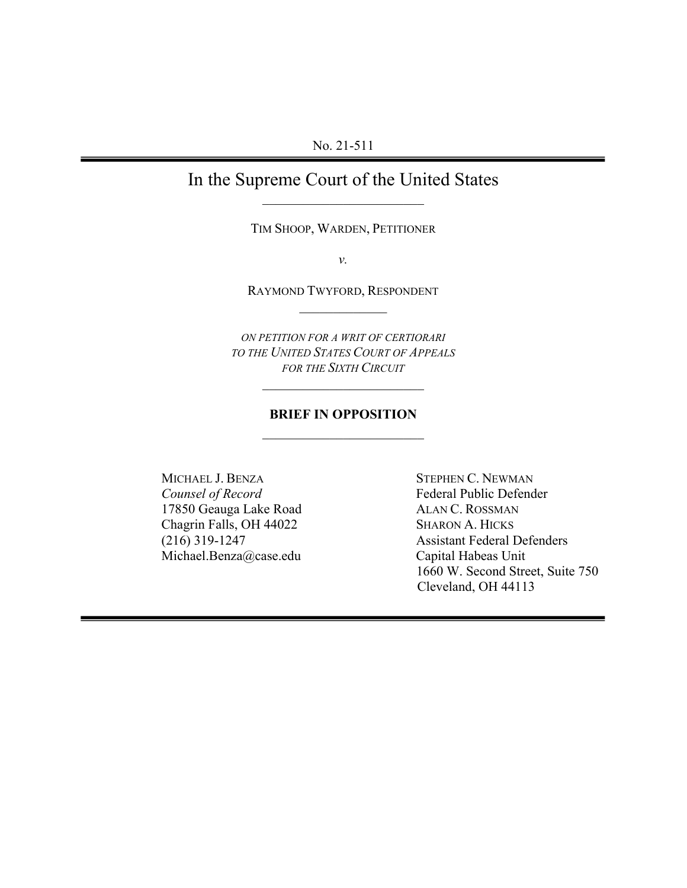# In the Supreme Court of the United States \_\_\_\_\_\_\_\_\_\_\_\_\_\_\_\_\_\_\_\_\_\_\_\_

TIM SHOOP, WARDEN, PETITIONER

*v.*

RAYMOND TWYFORD, RESPONDENT  $\mathcal{L}_\text{max}$ 

*ON PETITION FOR A WRIT OF CERTIORARI TO THE UNITED STATES COURT OF APPEALS FOR THE SIXTH CIRCUIT*

\_\_\_\_\_\_\_\_\_\_\_\_\_\_\_\_\_\_\_\_\_\_\_\_

## **BRIEF IN OPPOSITION**  \_\_\_\_\_\_\_\_\_\_\_\_\_\_\_\_\_\_\_\_\_\_\_\_

MICHAEL J. BENZA STEPHEN C. NEWMAN *Counsel of Record*<br>
17850 Geauga Lake Road<br> **ALAN C. ROSSMAN** 17850 Geauga Lake Road Chagrin Falls, OH 44022 SHARON A. HICKS Michael.Benza@case.edu Capital Habeas Unit

(216) 319-1247 Assistant Federal Defenders 1660 W. Second Street, Suite 750 Cleveland, OH 44113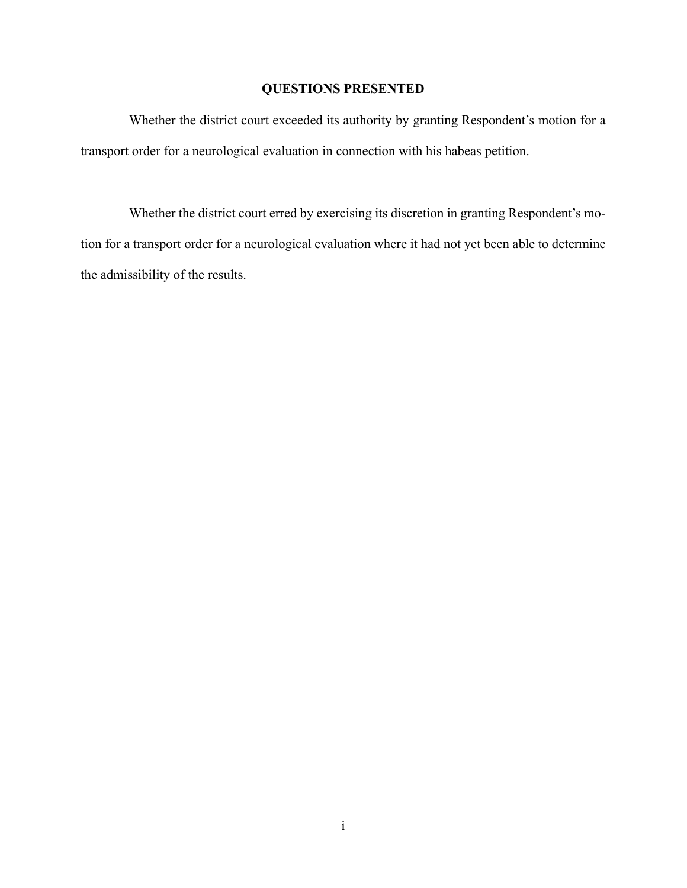## **QUESTIONS PRESENTED**

Whether the district court exceeded its authority by granting Respondent's motion for a transport order for a neurological evaluation in connection with his habeas petition.

Whether the district court erred by exercising its discretion in granting Respondent's motion for a transport order for a neurological evaluation where it had not yet been able to determine the admissibility of the results.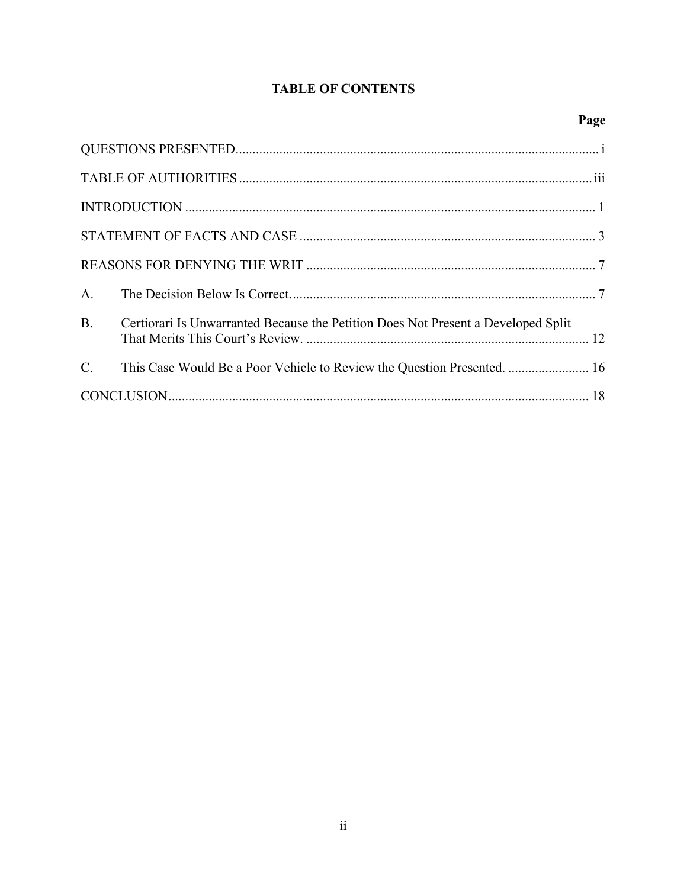## **TABLE OF CONTENTS**

# Page

|                  | B. Certiorari Is Unwarranted Because the Petition Does Not Present a Developed Split |
|------------------|--------------------------------------------------------------------------------------|
| $\overline{C}$ . | This Case Would Be a Poor Vehicle to Review the Question Presented.  16              |
|                  |                                                                                      |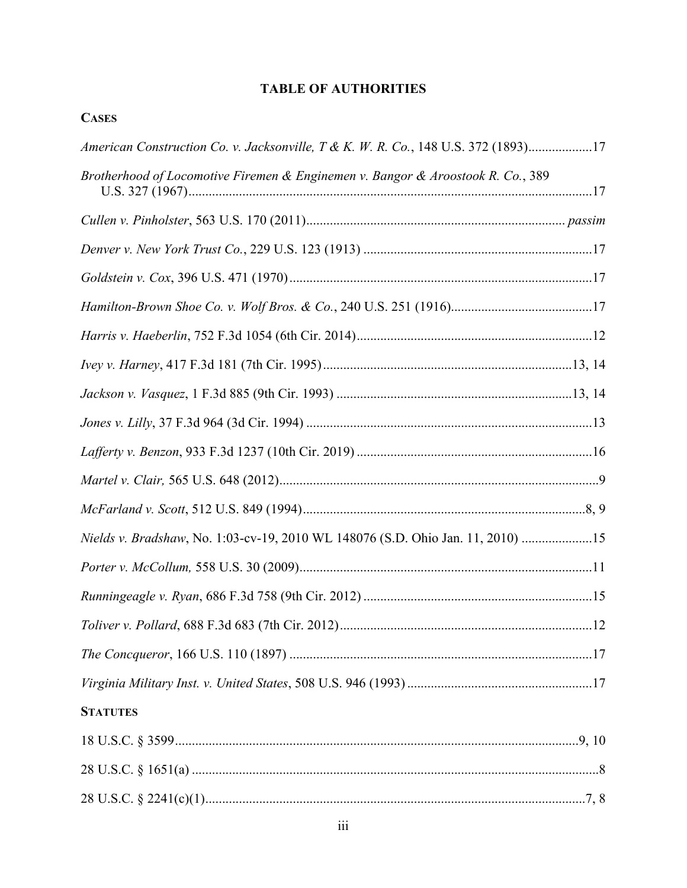## **TABLE OF AUTHORITIES**

**CASES** 

| American Construction Co. v. Jacksonville, T & K. W. R. Co., 148 U.S. 372 (1893)17 |
|------------------------------------------------------------------------------------|
| Brotherhood of Locomotive Firemen & Enginemen v. Bangor & Aroostook R. Co., 389    |
|                                                                                    |
|                                                                                    |
|                                                                                    |
|                                                                                    |
|                                                                                    |
|                                                                                    |
|                                                                                    |
|                                                                                    |
|                                                                                    |
|                                                                                    |
|                                                                                    |
| Nields v. Bradshaw, No. 1:03-cv-19, 2010 WL 148076 (S.D. Ohio Jan. 11, 2010) 15    |
|                                                                                    |
|                                                                                    |
|                                                                                    |
|                                                                                    |
|                                                                                    |
| <b>STATUTES</b>                                                                    |
|                                                                                    |
|                                                                                    |
|                                                                                    |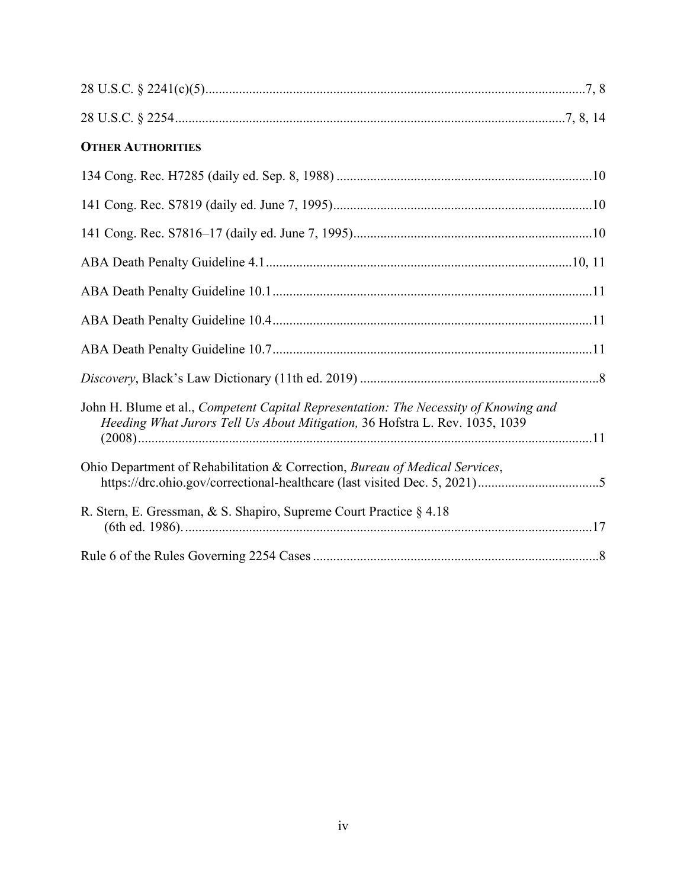| <b>OTHER AUTHORITIES</b>                                                                                                                                                   |
|----------------------------------------------------------------------------------------------------------------------------------------------------------------------------|
|                                                                                                                                                                            |
|                                                                                                                                                                            |
|                                                                                                                                                                            |
|                                                                                                                                                                            |
|                                                                                                                                                                            |
|                                                                                                                                                                            |
|                                                                                                                                                                            |
|                                                                                                                                                                            |
| John H. Blume et al., <i>Competent Capital Representation: The Necessity of Knowing and</i><br>Heeding What Jurors Tell Us About Mitigation, 36 Hofstra L. Rev. 1035, 1039 |
| Ohio Department of Rehabilitation & Correction, Bureau of Medical Services,                                                                                                |
| R. Stern, E. Gressman, & S. Shapiro, Supreme Court Practice § 4.18                                                                                                         |
|                                                                                                                                                                            |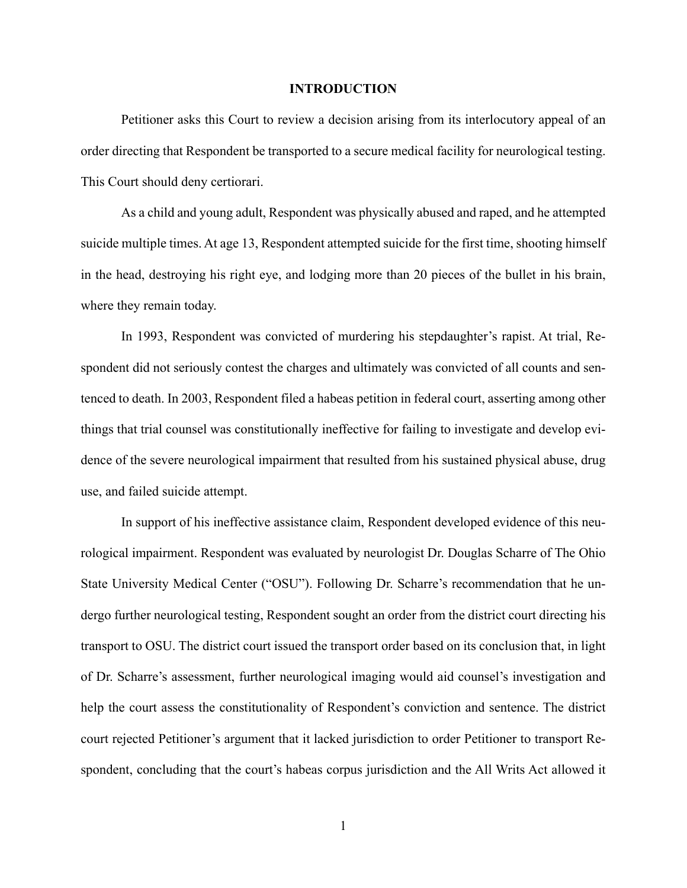#### **INTRODUCTION**

Petitioner asks this Court to review a decision arising from its interlocutory appeal of an order directing that Respondent be transported to a secure medical facility for neurological testing. This Court should deny certiorari.

As a child and young adult, Respondent was physically abused and raped, and he attempted suicide multiple times. At age 13, Respondent attempted suicide for the first time, shooting himself in the head, destroying his right eye, and lodging more than 20 pieces of the bullet in his brain, where they remain today.

In 1993, Respondent was convicted of murdering his stepdaughter's rapist. At trial, Respondent did not seriously contest the charges and ultimately was convicted of all counts and sentenced to death. In 2003, Respondent filed a habeas petition in federal court, asserting among other things that trial counsel was constitutionally ineffective for failing to investigate and develop evidence of the severe neurological impairment that resulted from his sustained physical abuse, drug use, and failed suicide attempt.

In support of his ineffective assistance claim, Respondent developed evidence of this neurological impairment. Respondent was evaluated by neurologist Dr. Douglas Scharre of The Ohio State University Medical Center ("OSU"). Following Dr. Scharre's recommendation that he undergo further neurological testing, Respondent sought an order from the district court directing his transport to OSU. The district court issued the transport order based on its conclusion that, in light of Dr. Scharre's assessment, further neurological imaging would aid counsel's investigation and help the court assess the constitutionality of Respondent's conviction and sentence. The district court rejected Petitioner's argument that it lacked jurisdiction to order Petitioner to transport Respondent, concluding that the court's habeas corpus jurisdiction and the All Writs Act allowed it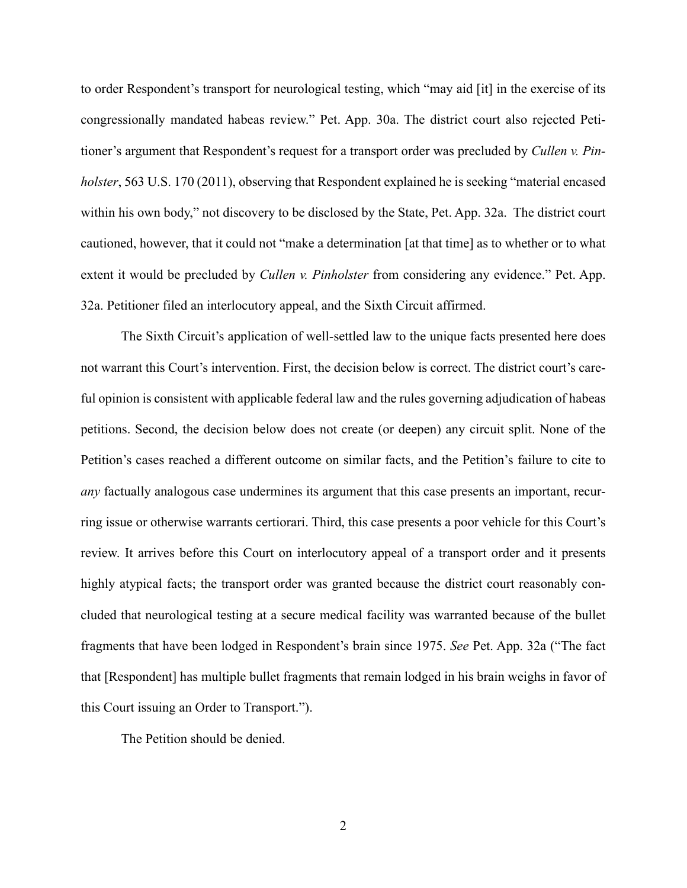<span id="page-6-0"></span>to order Respondent's transport for neurological testing, which "may aid [it] in the exercise of its congressionally mandated habeas review." Pet. App. 30a. The district court also rejected Petitioner's argument that Respondent's request for a transport order was precluded by *Cullen v. Pinholster*, 563 U.S. 170 (2011), observing that Respondent explained he is seeking "material encased within his own body," not discovery to be disclosed by the State, Pet. App. 32a. The district court cautioned, however, that it could not "make a determination [at that time] as to whether or to what extent it would be precluded by *Cullen v. Pinholster* from considering any evidence." Pet. App. 32a. Petitioner filed an interlocutory appeal, and the Sixth Circuit affirmed.

The Sixth Circuit's application of well-settled law to the unique facts presented here does not warrant this Court's intervention. First, the decision below is correct. The district court's careful opinion is consistent with applicable federal law and the rules governing adjudication of habeas petitions. Second, the decision below does not create (or deepen) any circuit split. None of the Petition's cases reached a different outcome on similar facts, and the Petition's failure to cite to *any* factually analogous case undermines its argument that this case presents an important, recurring issue or otherwise warrants certiorari. Third, this case presents a poor vehicle for this Court's review. It arrives before this Court on interlocutory appeal of a transport order and it presents highly atypical facts; the transport order was granted because the district court reasonably concluded that neurological testing at a secure medical facility was warranted because of the bullet fragments that have been lodged in Respondent's brain since 1975. *See* Pet. App. 32a ("The fact that [Respondent] has multiple bullet fragments that remain lodged in his brain weighs in favor of this Court issuing an Order to Transport.").

The Petition should be denied.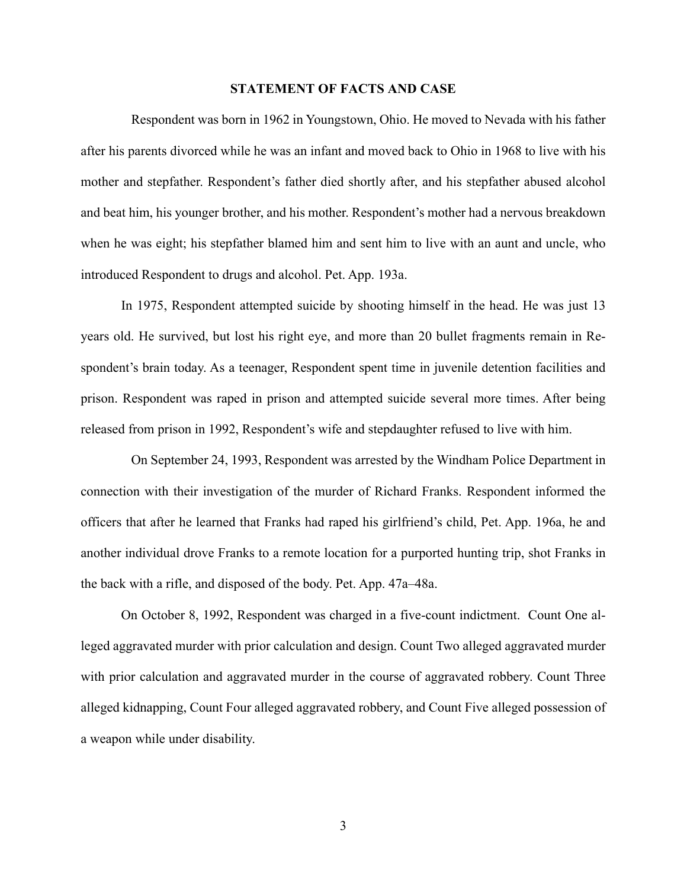#### **STATEMENT OF FACTS AND CASE**

Respondent was born in 1962 in Youngstown, Ohio. He moved to Nevada with his father after his parents divorced while he was an infant and moved back to Ohio in 1968 to live with his mother and stepfather. Respondent's father died shortly after, and his stepfather abused alcohol and beat him, his younger brother, and his mother. Respondent's mother had a nervous breakdown when he was eight; his stepfather blamed him and sent him to live with an aunt and uncle, who introduced Respondent to drugs and alcohol. Pet. App. 193a.

In 1975, Respondent attempted suicide by shooting himself in the head. He was just 13 years old. He survived, but lost his right eye, and more than 20 bullet fragments remain in Respondent's brain today. As a teenager, Respondent spent time in juvenile detention facilities and prison. Respondent was raped in prison and attempted suicide several more times. After being released from prison in 1992, Respondent's wife and stepdaughter refused to live with him.

On September 24, 1993, Respondent was arrested by the Windham Police Department in connection with their investigation of the murder of Richard Franks. Respondent informed the officers that after he learned that Franks had raped his girlfriend's child, Pet. App. 196a, he and another individual drove Franks to a remote location for a purported hunting trip, shot Franks in the back with a rifle, and disposed of the body. Pet. App. 47a–48a.

On October 8, 1992, Respondent was charged in a five-count indictment. Count One alleged aggravated murder with prior calculation and design. Count Two alleged aggravated murder with prior calculation and aggravated murder in the course of aggravated robbery. Count Three alleged kidnapping, Count Four alleged aggravated robbery, and Count Five alleged possession of a weapon while under disability.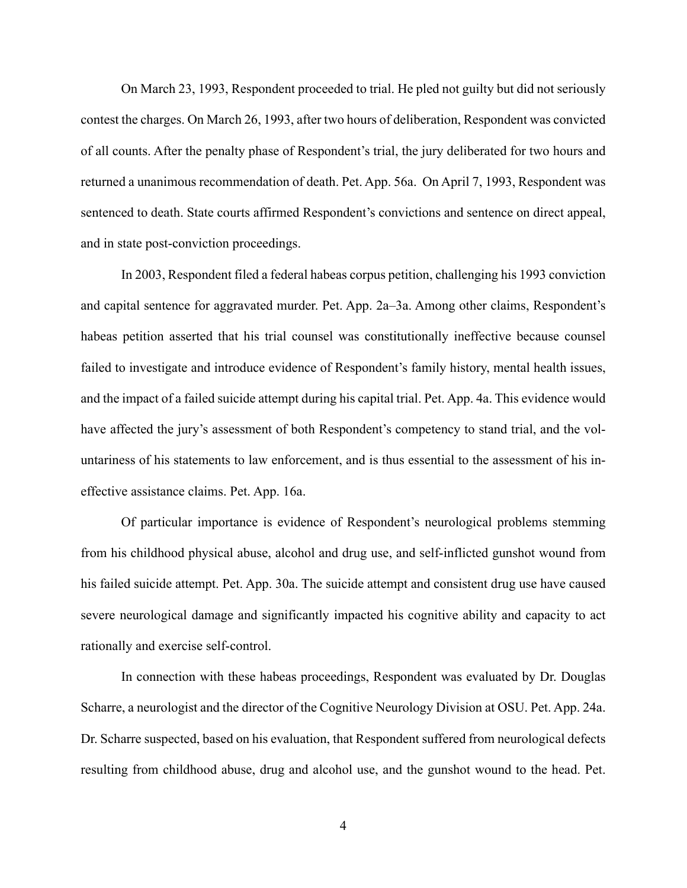On March 23, 1993, Respondent proceeded to trial. He pled not guilty but did not seriously contest the charges. On March 26, 1993, after two hours of deliberation, Respondent was convicted of all counts. After the penalty phase of Respondent's trial, the jury deliberated for two hours and returned a unanimous recommendation of death. Pet. App. 56a. On April 7, 1993, Respondent was sentenced to death. State courts affirmed Respondent's convictions and sentence on direct appeal, and in state post-conviction proceedings.

In 2003, Respondent filed a federal habeas corpus petition, challenging his 1993 conviction and capital sentence for aggravated murder. Pet. App. 2a–3a. Among other claims, Respondent's habeas petition asserted that his trial counsel was constitutionally ineffective because counsel failed to investigate and introduce evidence of Respondent's family history, mental health issues, and the impact of a failed suicide attempt during his capital trial. Pet. App. 4a. This evidence would have affected the jury's assessment of both Respondent's competency to stand trial, and the voluntariness of his statements to law enforcement, and is thus essential to the assessment of his ineffective assistance claims. Pet. App. 16a.

Of particular importance is evidence of Respondent's neurological problems stemming from his childhood physical abuse, alcohol and drug use, and self-inflicted gunshot wound from his failed suicide attempt. Pet. App. 30a. The suicide attempt and consistent drug use have caused severe neurological damage and significantly impacted his cognitive ability and capacity to act rationally and exercise self-control.

In connection with these habeas proceedings, Respondent was evaluated by Dr. Douglas Scharre, a neurologist and the director of the Cognitive Neurology Division at OSU. Pet. App. 24a. Dr. Scharre suspected, based on his evaluation, that Respondent suffered from neurological defects resulting from childhood abuse, drug and alcohol use, and the gunshot wound to the head. Pet.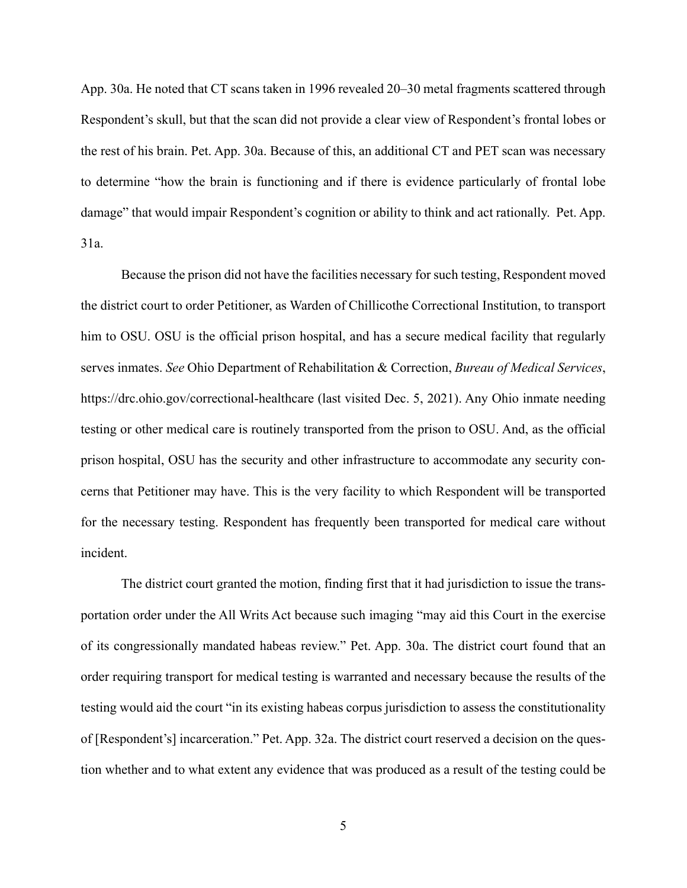App. 30a. He noted that CT scans taken in 1996 revealed 20–30 metal fragments scattered through Respondent's skull, but that the scan did not provide a clear view of Respondent's frontal lobes or the rest of his brain. Pet. App. 30a. Because of this, an additional CT and PET scan was necessary to determine "how the brain is functioning and if there is evidence particularly of frontal lobe damage" that would impair Respondent's cognition or ability to think and act rationally. Pet. App. 31a.

<span id="page-9-0"></span>Because the prison did not have the facilities necessary for such testing, Respondent moved the district court to order Petitioner, as Warden of Chillicothe Correctional Institution, to transport him to OSU. OSU is the official prison hospital, and has a secure medical facility that regularly serves inmates. *See* Ohio Department of Rehabilitation & Correction, *Bureau of Medical Services*, https://drc.ohio.gov/correctional-healthcare (last visited Dec. 5, 2021). Any Ohio inmate needing testing or other medical care is routinely transported from the prison to OSU. And, as the official prison hospital, OSU has the security and other infrastructure to accommodate any security concerns that Petitioner may have. This is the very facility to which Respondent will be transported for the necessary testing. Respondent has frequently been transported for medical care without incident.

The district court granted the motion, finding first that it had jurisdiction to issue the transportation order under the All Writs Act because such imaging "may aid this Court in the exercise of its congressionally mandated habeas review." Pet. App. 30a. The district court found that an order requiring transport for medical testing is warranted and necessary because the results of the testing would aid the court "in its existing habeas corpus jurisdiction to assess the constitutionality of [Respondent's] incarceration." Pet. App. 32a. The district court reserved a decision on the question whether and to what extent any evidence that was produced as a result of the testing could be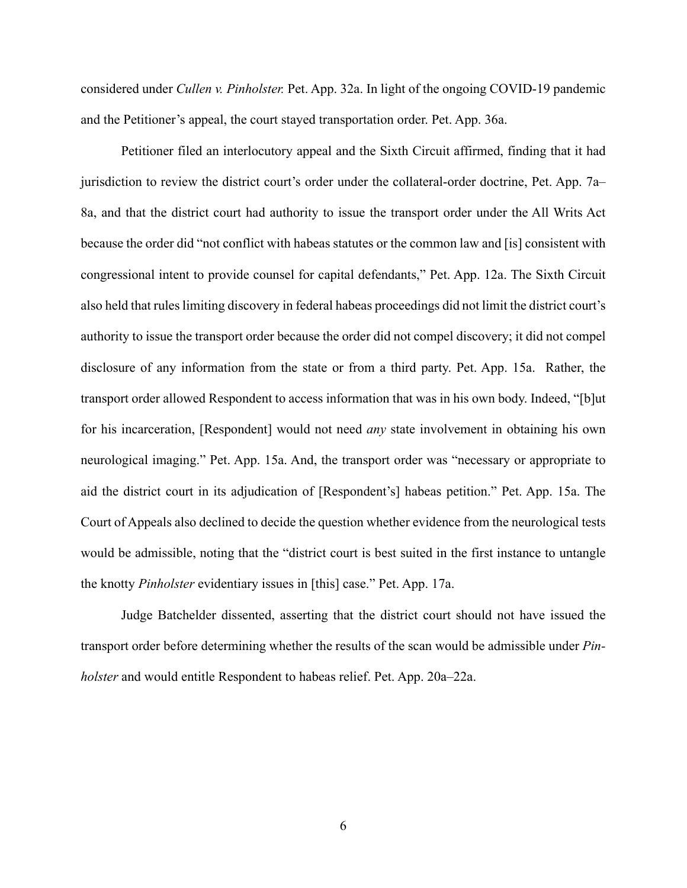considered under *Cullen v. Pinholster.* Pet. App. 32a. In light of the ongoing COVID-19 pandemic and the Petitioner's appeal, the court stayed transportation order. Pet. App. 36a.

Petitioner filed an interlocutory appeal and the Sixth Circuit affirmed, finding that it had jurisdiction to review the district court's order under the collateral-order doctrine, Pet. App. 7a– 8a, and that the district court had authority to issue the transport order under the All Writs Act because the order did "not conflict with habeas statutes or the common law and [is] consistent with congressional intent to provide counsel for capital defendants," Pet. App. 12a. The Sixth Circuit also held that rules limiting discovery in federal habeas proceedings did not limit the district court's authority to issue the transport order because the order did not compel discovery; it did not compel disclosure of any information from the state or from a third party. Pet. App. 15a. Rather, the transport order allowed Respondent to access information that was in his own body. Indeed, "[b]ut for his incarceration, [Respondent] would not need *any* state involvement in obtaining his own neurological imaging." Pet. App. 15a. And, the transport order was "necessary or appropriate to aid the district court in its adjudication of [Respondent's] habeas petition." Pet. App. 15a. The Court of Appeals also declined to decide the question whether evidence from the neurological tests would be admissible, noting that the "district court is best suited in the first instance to untangle the knotty *Pinholster* evidentiary issues in [this] case." Pet. App. 17a.

Judge Batchelder dissented, asserting that the district court should not have issued the transport order before determining whether the results of the scan would be admissible under *Pinholster* and would entitle Respondent to habeas relief. Pet. App. 20a–22a.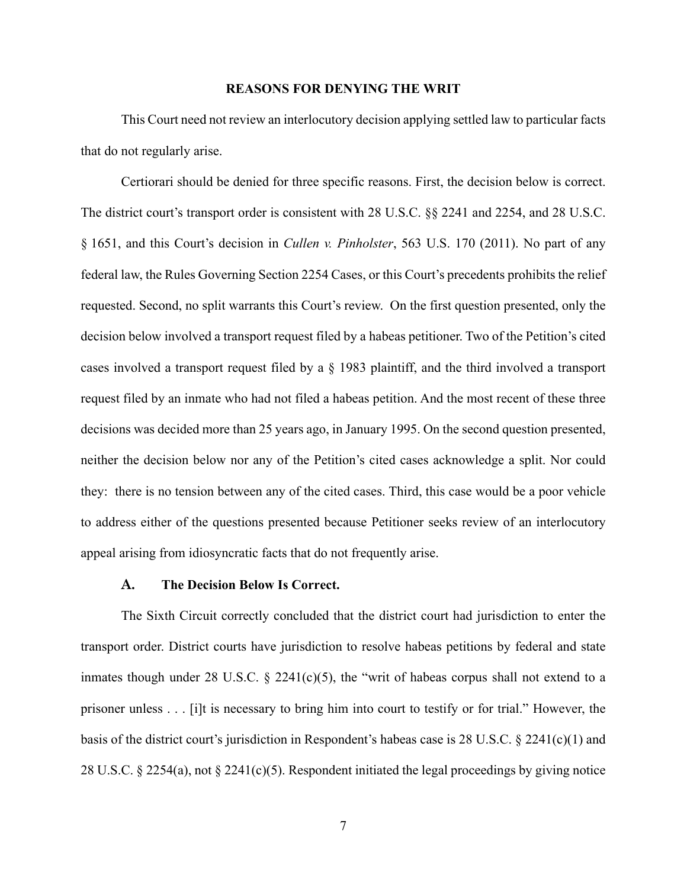#### <span id="page-11-3"></span>**REASONS FOR DENYING THE WRIT**

This Court need not review an interlocutory decision applying settled law to particular facts that do not regularly arise.

Certiorari should be denied for three specific reasons. First, the decision below is correct. The district court's transport order is consistent with 28 U.S.C. §§ 2241 and 2254, and 28 U.S.C. § 1651, and this Court's decision in *Cullen v. Pinholster*, 563 U.S. 170 (2011). No part of any federal law, the Rules Governing Section 2254 Cases, or this Court's precedents prohibits the relief requested. Second, no split warrants this Court's review. On the first question presented, only the decision below involved a transport request filed by a habeas petitioner. Two of the Petition's cited cases involved a transport request filed by a § 1983 plaintiff, and the third involved a transport request filed by an inmate who had not filed a habeas petition. And the most recent of these three decisions was decided more than 25 years ago, in January 1995. On the second question presented, neither the decision below nor any of the Petition's cited cases acknowledge a split. Nor could they: there is no tension between any of the cited cases. Third, this case would be a poor vehicle to address either of the questions presented because Petitioner seeks review of an interlocutory appeal arising from idiosyncratic facts that do not frequently arise.

#### <span id="page-11-1"></span><span id="page-11-0"></span>**A. The Decision Below Is Correct.**

<span id="page-11-2"></span>The Sixth Circuit correctly concluded that the district court had jurisdiction to enter the transport order. District courts have jurisdiction to resolve habeas petitions by federal and state inmates though under 28 U.S.C.  $\S$  2241(c)(5), the "writ of habeas corpus shall not extend to a prisoner unless . . . [i]t is necessary to bring him into court to testify or for trial." However, the basis of the district court's jurisdiction in Respondent's habeas case is 28 U.S.C. § 2241(c)(1) and 28 U.S.C. § 2254(a), not § 2241(c)(5). Respondent initiated the legal proceedings by giving notice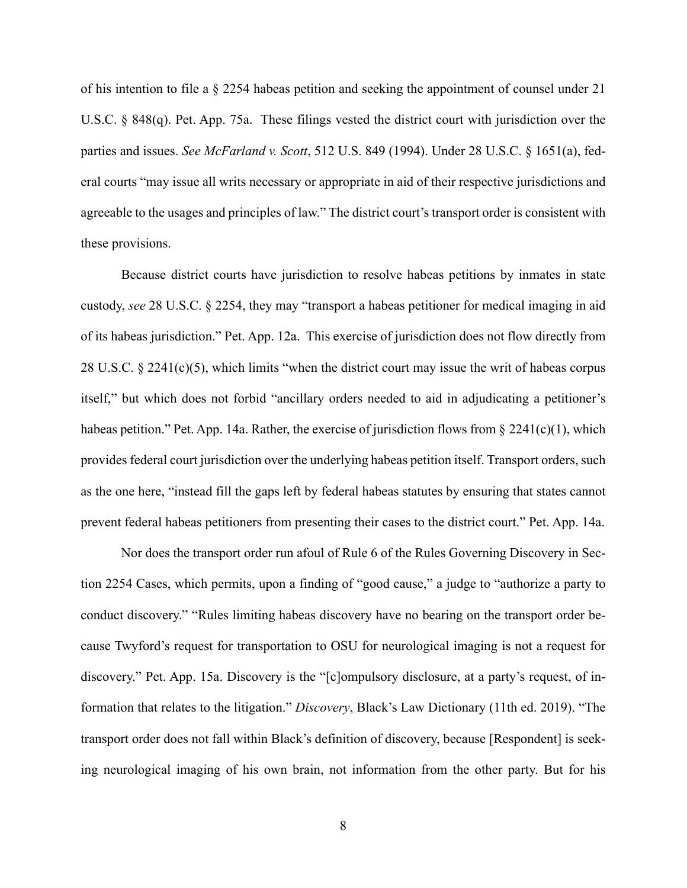<span id="page-12-0"></span>of his intention to file a § 2254 habeas petition and seeking the appointment of counsel under 21 U.S.C. § 848(q). Pet. App. 75a. These filings vested the district court with jurisdiction over the parties and issues. *See McFarland v. Scott*, 512 U.S. 849 (1994). Under 28 U.S.C. § 1651(a), federal courts "may issue all writs necessary or appropriate in aid of their respective jurisdictions and agreeable to the usages and principles of law." The district court's transport order is consistent with these provisions.

<span id="page-12-2"></span>Because district courts have jurisdiction to resolve habeas petitions by inmates in state custody, *see* 28 U.S.C. § 2254, they may "transport a habeas petitioner for medical imaging in aid of its habeas jurisdiction." Pet. App. 12a. This exercise of jurisdiction does not flow directly from 28 U.S.C. § 2241(c)(5), which limits "when the district court may issue the writ of habeas corpus itself," but which does not forbid "ancillary orders needed to aid in adjudicating a petitioner's habeas petition." Pet. App. 14a. Rather, the exercise of jurisdiction flows from  $\S 2241(c)(1)$ , which provides federal court jurisdiction over the underlying habeas petition itself. Transport orders, such as the one here, "instead fill the gaps left by federal habeas statutes by ensuring that states cannot prevent federal habeas petitioners from presenting their cases to the district court." Pet. App. 14a.

<span id="page-12-4"></span><span id="page-12-3"></span><span id="page-12-1"></span>Nor does the transport order run afoul of Rule 6 of the Rules Governing Discovery in Section 2254 Cases, which permits, upon a finding of "good cause," a judge to "authorize a party to conduct discovery." "Rules limiting habeas discovery have no bearing on the transport order because Twyford's request for transportation to OSU for neurological imaging is not a request for discovery." Pet. App. 15a. Discovery is the "[c]ompulsory disclosure, at a party's request, of information that relates to the litigation." *Discovery*, Black's Law Dictionary (11th ed. 2019). "The transport order does not fall within Black's definition of discovery, because [Respondent] is seeking neurological imaging of his own brain, not information from the other party. But for his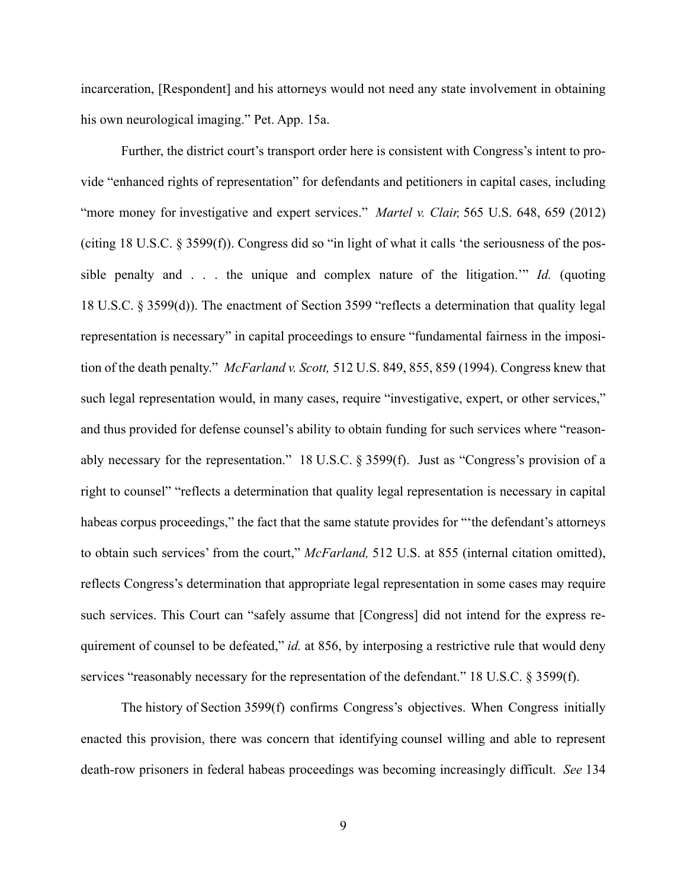incarceration, [Respondent] and his attorneys would not need any state involvement in obtaining his own neurological imaging." Pet. App. 15a.

<span id="page-13-2"></span><span id="page-13-1"></span><span id="page-13-0"></span>Further, the district court's transport order here is consistent with Congress's intent to provide "enhanced rights of representation" for defendants and petitioners in capital cases, including "more money for investigative and expert services." *Martel v. Clair,* 565 U.S. 648, 659 (2012) (citing 18 U.S.C. § 3599(f)). Congress did so "in light of what it calls 'the seriousness of the possible penalty and . . . the unique and complex nature of the litigation.'" *Id.* (quoting 18 U.S.C. § 3599(d)). The enactment of Section 3599 "reflects a determination that quality legal representation is necessary" in capital proceedings to ensure "fundamental fairness in the imposition of the death penalty." *McFarland v. Scott,* 512 U.S. 849, 855, 859 (1994). Congress knew that such legal representation would, in many cases, require "investigative, expert, or other services," and thus provided for defense counsel's ability to obtain funding for such services where "reasonably necessary for the representation." 18 U.S.C. § 3599(f). Just as "Congress's provision of a right to counsel" "reflects a determination that quality legal representation is necessary in capital habeas corpus proceedings," the fact that the same statute provides for "the defendant's attorneys to obtain such services' from the court," *McFarland,* 512 U.S. at 855 (internal citation omitted), reflects Congress's determination that appropriate legal representation in some cases may require such services. This Court can "safely assume that [Congress] did not intend for the express requirement of counsel to be defeated," *id.* at 856, by interposing a restrictive rule that would deny services "reasonably necessary for the representation of the defendant." 18 U.S.C. § 3599(f).

<span id="page-13-4"></span><span id="page-13-3"></span>The history of Section 3599(f) confirms Congress's objectives. When Congress initially enacted this provision, there was concern that identifying counsel willing and able to represent death-row prisoners in federal habeas proceedings was becoming increasingly difficult. *See* 134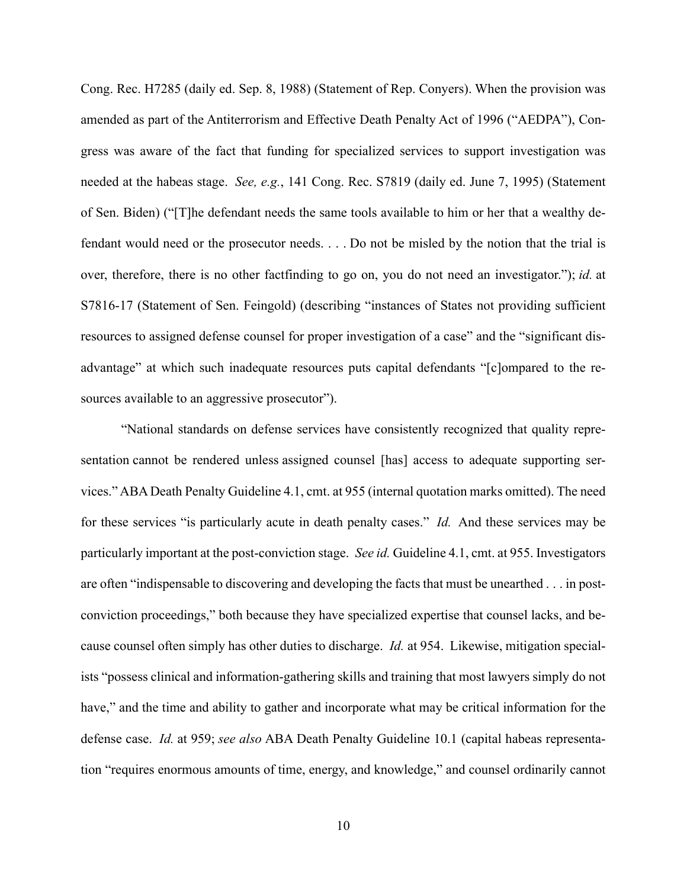<span id="page-14-0"></span>Cong. Rec. H7285 (daily ed. Sep. 8, 1988) (Statement of Rep. Conyers). When the provision was amended as part of the Antiterrorism and Effective Death Penalty Act of 1996 ("AEDPA"), Congress was aware of the fact that funding for specialized services to support investigation was needed at the habeas stage. *See, e.g.*, 141 Cong. Rec. S7819 (daily ed. June 7, 1995) (Statement of Sen. Biden) ("[T]he defendant needs the same tools available to him or her that a wealthy defendant would need or the prosecutor needs. . . . Do not be misled by the notion that the trial is over, therefore, there is no other factfinding to go on, you do not need an investigator."); *id.* at S7816-17 (Statement of Sen. Feingold) (describing "instances of States not providing sufficient resources to assigned defense counsel for proper investigation of a case" and the "significant disadvantage" at which such inadequate resources puts capital defendants "[c]ompared to the resources available to an aggressive prosecutor").

"National standards on defense services have consistently recognized that quality representation cannot be rendered unless assigned counsel [has] access to adequate supporting services." ABA Death Penalty Guideline 4.1, cmt. at 955 (internal quotation marks omitted). The need for these services "is particularly acute in death penalty cases." *Id.* And these services may be particularly important at the post-conviction stage. *See id.* Guideline 4.1, cmt. at 955. Investigators are often "indispensable to discovering and developing the facts that must be unearthed . . . in postconviction proceedings," both because they have specialized expertise that counsel lacks, and because counsel often simply has other duties to discharge. *Id.* at 954. Likewise, mitigation specialists "possess clinical and information-gathering skills and training that most lawyers simply do not have," and the time and ability to gather and incorporate what may be critical information for the defense case. *Id.* at 959; *see also* ABA Death Penalty Guideline 10.1 (capital habeas representation "requires enormous amounts of time, energy, and knowledge," and counsel ordinarily cannot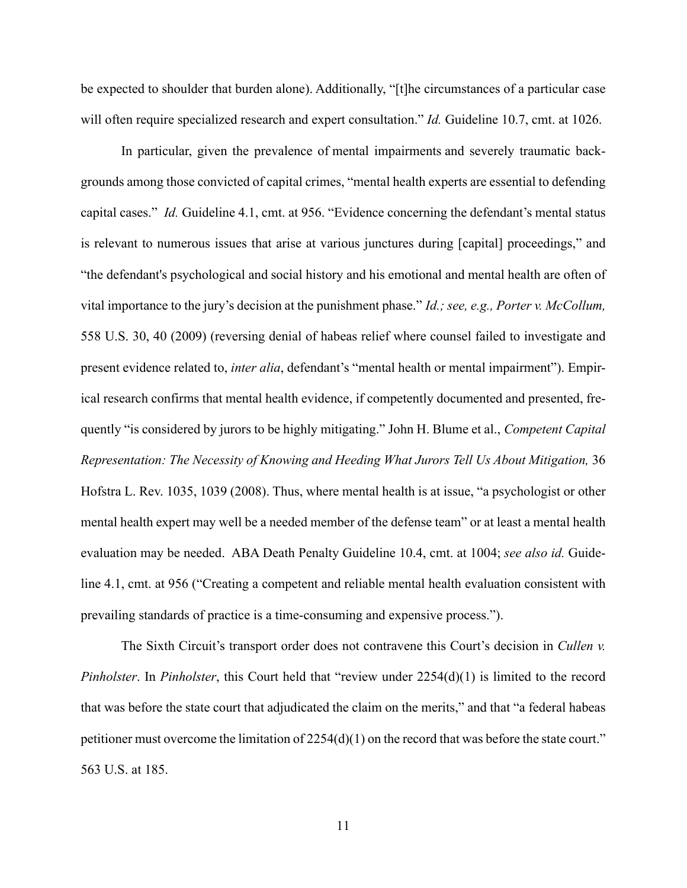be expected to shoulder that burden alone). Additionally, "[t]he circumstances of a particular case will often require specialized research and expert consultation." *Id.* Guideline 10.7, cmt. at 1026.

<span id="page-15-0"></span>In particular, given the prevalence of mental impairments and severely traumatic backgrounds among those convicted of capital crimes, "mental health experts are essential to defending capital cases." *Id.* Guideline 4.1, cmt. at 956. "Evidence concerning the defendant's mental status is relevant to numerous issues that arise at various junctures during [capital] proceedings," and "the defendant's psychological and social history and his emotional and mental health are often of vital importance to the jury's decision at the punishment phase." *Id.; see, e.g., Porter v. McCollum,* 558 U.S. 30, 40 (2009) (reversing denial of habeas relief where counsel failed to investigate and present evidence related to, *inter alia*, defendant's "mental health or mental impairment"). Empirical research confirms that mental health evidence, if competently documented and presented, frequently "is considered by jurors to be highly mitigating." John H. Blume et al., *Competent Capital Representation: The Necessity of Knowing and Heeding What Jurors Tell Us About Mitigation,* 36 Hofstra L. Rev. 1035, 1039 (2008). Thus, where mental health is at issue, "a psychologist or other mental health expert may well be a needed member of the defense team" or at least a mental health evaluation may be needed. ABA Death Penalty Guideline 10.4, cmt. at 1004; *see also id.* Guideline 4.1, cmt. at 956 ("Creating a competent and reliable mental health evaluation consistent with prevailing standards of practice is a time-consuming and expensive process.").

<span id="page-15-1"></span>The Sixth Circuit's transport order does not contravene this Court's decision in *Cullen v. Pinholster*. In *Pinholster*, this Court held that "review under 2254(d)(1) is limited to the record that was before the state court that adjudicated the claim on the merits," and that "a federal habeas petitioner must overcome the limitation of 2254(d)(1) on the record that was before the state court." 563 U.S. at 185.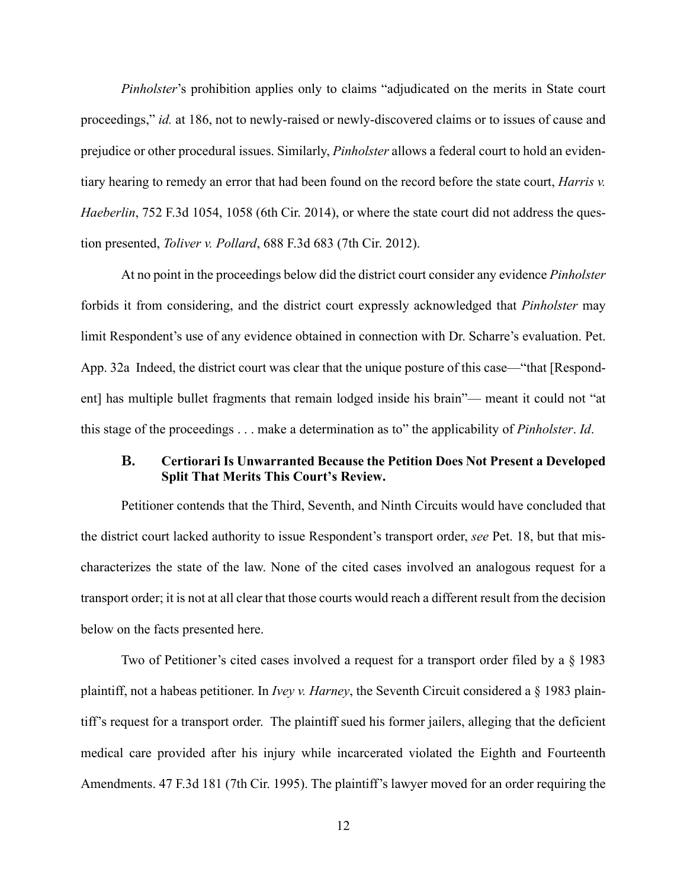<span id="page-16-0"></span>*Pinholster*'s prohibition applies only to claims "adjudicated on the merits in State court proceedings," *id.* at 186, not to newly-raised or newly-discovered claims or to issues of cause and prejudice or other procedural issues. Similarly, *Pinholster* allows a federal court to hold an evidentiary hearing to remedy an error that had been found on the record before the state court, *Harris v. Haeberlin*, 752 F.3d 1054, 1058 (6th Cir. 2014), or where the state court did not address the question presented, *Toliver v. Pollard*, 688 F.3d 683 (7th Cir. 2012).

<span id="page-16-1"></span>At no point in the proceedings below did the district court consider any evidence *Pinholster* forbids it from considering, and the district court expressly acknowledged that *Pinholster* may limit Respondent's use of any evidence obtained in connection with Dr. Scharre's evaluation. Pet. App. 32a Indeed, the district court was clear that the unique posture of this case—"that [Respondent] has multiple bullet fragments that remain lodged inside his brain"— meant it could not "at this stage of the proceedings . . . make a determination as to" the applicability of *Pinholster*. *Id*.

### **B. Certiorari Is Unwarranted Because the Petition Does Not Present a Developed Split That Merits This Court's Review.**

Petitioner contends that the Third, Seventh, and Ninth Circuits would have concluded that the district court lacked authority to issue Respondent's transport order, *see* Pet. 18, but that mischaracterizes the state of the law. None of the cited cases involved an analogous request for a transport order; it is not at all clear that those courts would reach a different result from the decision below on the facts presented here.

Two of Petitioner's cited cases involved a request for a transport order filed by a § 1983 plaintiff, not a habeas petitioner. In *Ivey v. Harney*, the Seventh Circuit considered a § 1983 plaintiff's request for a transport order. The plaintiff sued his former jailers, alleging that the deficient medical care provided after his injury while incarcerated violated the Eighth and Fourteenth Amendments. 47 F.3d 181 (7th Cir. 1995). The plaintiff's lawyer moved for an order requiring the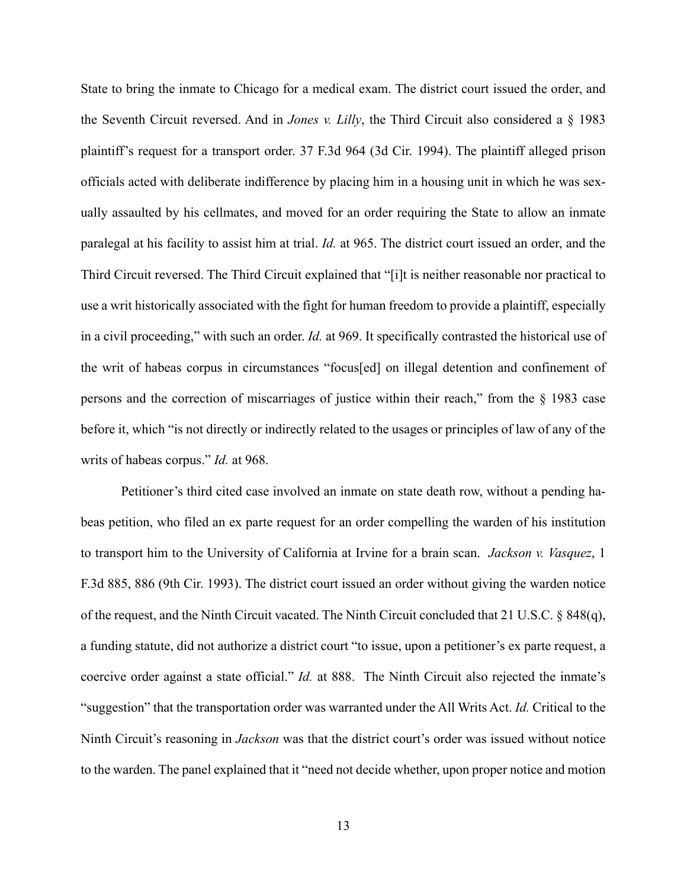State to bring the inmate to Chicago for a medical exam. The district court issued the order, and the Seventh Circuit reversed. And in *Jones v. Lilly*, the Third Circuit also considered a § 1983 plaintiff's request for a transport order. 37 F.3d 964 (3d Cir. 1994). The plaintiff alleged prison officials acted with deliberate indifference by placing him in a housing unit in which he was sexually assaulted by his cellmates, and moved for an order requiring the State to allow an inmate paralegal at his facility to assist him at trial. *Id.* at 965. The district court issued an order, and the Third Circuit reversed. The Third Circuit explained that "[i]t is neither reasonable nor practical to use a writ historically associated with the fight for human freedom to provide a plaintiff, especially in a civil proceeding," with such an order. *Id.* at 969. It specifically contrasted the historical use of the writ of habeas corpus in circumstances "focus[ed] on illegal detention and confinement of persons and the correction of miscarriages of justice within their reach," from the § 1983 case before it, which "is not directly or indirectly related to the usages or principles of law of any of the writs of habeas corpus." *Id.* at 968.

<span id="page-17-1"></span><span id="page-17-0"></span>Petitioner's third cited case involved an inmate on state death row, without a pending habeas petition, who filed an ex parte request for an order compelling the warden of his institution to transport him to the University of California at Irvine for a brain scan. *Jackson v. Vasquez*, 1 F.3d 885, 886 (9th Cir. 1993). The district court issued an order without giving the warden notice of the request, and the Ninth Circuit vacated. The Ninth Circuit concluded that 21 U.S.C. § 848(q), a funding statute, did not authorize a district court "to issue, upon a petitioner's ex parte request, a coercive order against a state official." *Id.* at 888. The Ninth Circuit also rejected the inmate's "suggestion" that the transportation order was warranted under the All Writs Act. *Id.* Critical to the Ninth Circuit's reasoning in *Jackson* was that the district court's order was issued without notice to the warden. The panel explained that it "need not decide whether, upon proper notice and motion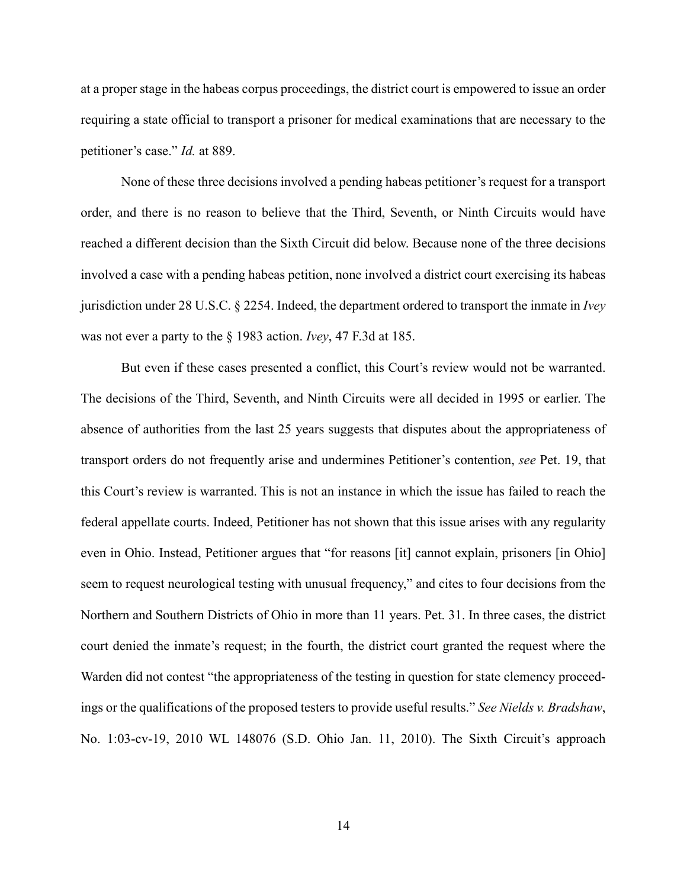at a proper stage in the habeas corpus proceedings, the district court is empowered to issue an order requiring a state official to transport a prisoner for medical examinations that are necessary to the petitioner's case." *Id.* at 889.

None of these three decisions involved a pending habeas petitioner's request for a transport order, and there is no reason to believe that the Third, Seventh, or Ninth Circuits would have reached a different decision than the Sixth Circuit did below. Because none of the three decisions involved a case with a pending habeas petition, none involved a district court exercising its habeas jurisdiction under 28 U.S.C. § 2254. Indeed, the department ordered to transport the inmate in *Ivey* was not ever a party to the § 1983 action. *Ivey*, 47 F.3d at 185.

<span id="page-18-1"></span><span id="page-18-0"></span>But even if these cases presented a conflict, this Court's review would not be warranted. The decisions of the Third, Seventh, and Ninth Circuits were all decided in 1995 or earlier. The absence of authorities from the last 25 years suggests that disputes about the appropriateness of transport orders do not frequently arise and undermines Petitioner's contention, *see* Pet. 19, that this Court's review is warranted. This is not an instance in which the issue has failed to reach the federal appellate courts. Indeed, Petitioner has not shown that this issue arises with any regularity even in Ohio. Instead, Petitioner argues that "for reasons [it] cannot explain, prisoners [in Ohio] seem to request neurological testing with unusual frequency," and cites to four decisions from the Northern and Southern Districts of Ohio in more than 11 years. Pet. 31. In three cases, the district court denied the inmate's request; in the fourth, the district court granted the request where the Warden did not contest "the appropriateness of the testing in question for state clemency proceedings or the qualifications of the proposed testers to provide useful results." *See Nields v. Bradshaw*, No. 1:03-cv-19, 2010 WL 148076 (S.D. Ohio Jan. 11, 2010). The Sixth Circuit's approach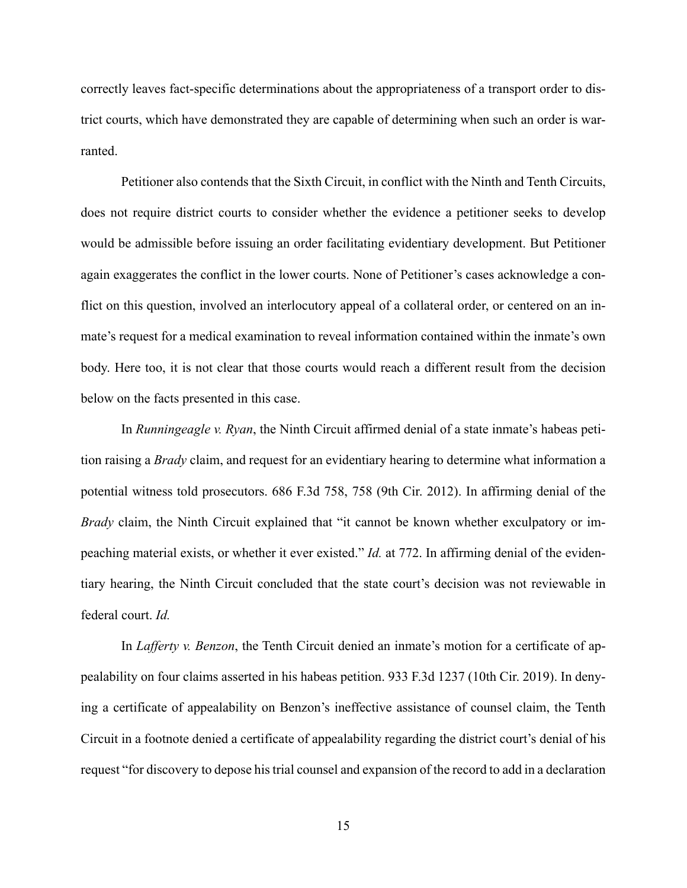correctly leaves fact-specific determinations about the appropriateness of a transport order to district courts, which have demonstrated they are capable of determining when such an order is warranted.

Petitioner also contends that the Sixth Circuit, in conflict with the Ninth and Tenth Circuits, does not require district courts to consider whether the evidence a petitioner seeks to develop would be admissible before issuing an order facilitating evidentiary development. But Petitioner again exaggerates the conflict in the lower courts. None of Petitioner's cases acknowledge a conflict on this question, involved an interlocutory appeal of a collateral order, or centered on an inmate's request for a medical examination to reveal information contained within the inmate's own body. Here too, it is not clear that those courts would reach a different result from the decision below on the facts presented in this case.

In *Runningeagle v. Ryan*, the Ninth Circuit affirmed denial of a state inmate's habeas petition raising a *Brady* claim, and request for an evidentiary hearing to determine what information a potential witness told prosecutors. 686 F.3d 758, 758 (9th Cir. 2012). In affirming denial of the *Brady* claim, the Ninth Circuit explained that "it cannot be known whether exculpatory or impeaching material exists, or whether it ever existed." *Id.* at 772. In affirming denial of the evidentiary hearing, the Ninth Circuit concluded that the state court's decision was not reviewable in federal court. *Id.*

In *Lafferty v. Benzon*, the Tenth Circuit denied an inmate's motion for a certificate of appealability on four claims asserted in his habeas petition. 933 F.3d 1237 (10th Cir. 2019). In denying a certificate of appealability on Benzon's ineffective assistance of counsel claim, the Tenth Circuit in a footnote denied a certificate of appealability regarding the district court's denial of his request "for discovery to depose his trial counsel and expansion of the record to add in a declaration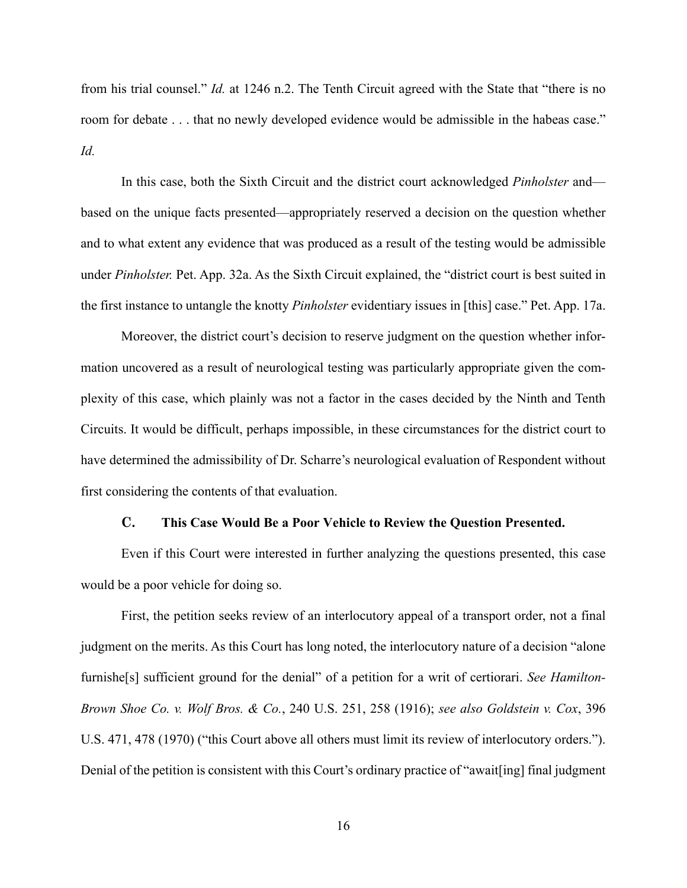from his trial counsel." *Id.* at 1246 n.2. The Tenth Circuit agreed with the State that "there is no room for debate . . . that no newly developed evidence would be admissible in the habeas case." *Id.*

In this case, both the Sixth Circuit and the district court acknowledged *Pinholster* and based on the unique facts presented—appropriately reserved a decision on the question whether and to what extent any evidence that was produced as a result of the testing would be admissible under *Pinholster.* Pet. App. 32a. As the Sixth Circuit explained, the "district court is best suited in the first instance to untangle the knotty *Pinholster* evidentiary issues in [this] case." Pet. App. 17a.

Moreover, the district court's decision to reserve judgment on the question whether information uncovered as a result of neurological testing was particularly appropriate given the complexity of this case, which plainly was not a factor in the cases decided by the Ninth and Tenth Circuits. It would be difficult, perhaps impossible, in these circumstances for the district court to have determined the admissibility of Dr. Scharre's neurological evaluation of Respondent without first considering the contents of that evaluation.

#### <span id="page-20-1"></span><span id="page-20-0"></span>**C. This Case Would Be a Poor Vehicle to Review the Question Presented.**

Even if this Court were interested in further analyzing the questions presented, this case would be a poor vehicle for doing so.

First, the petition seeks review of an interlocutory appeal of a transport order, not a final judgment on the merits. As this Court has long noted, the interlocutory nature of a decision "alone furnishe[s] sufficient ground for the denial" of a petition for a writ of certiorari. *See Hamilton-Brown Shoe Co. v. Wolf Bros. & Co.*, 240 U.S. 251, 258 (1916); *see also Goldstein v. Cox*, 396 U.S. 471, 478 (1970) ("this Court above all others must limit its review of interlocutory orders."). Denial of the petition is consistent with this Court's ordinary practice of "await[ing] final judgment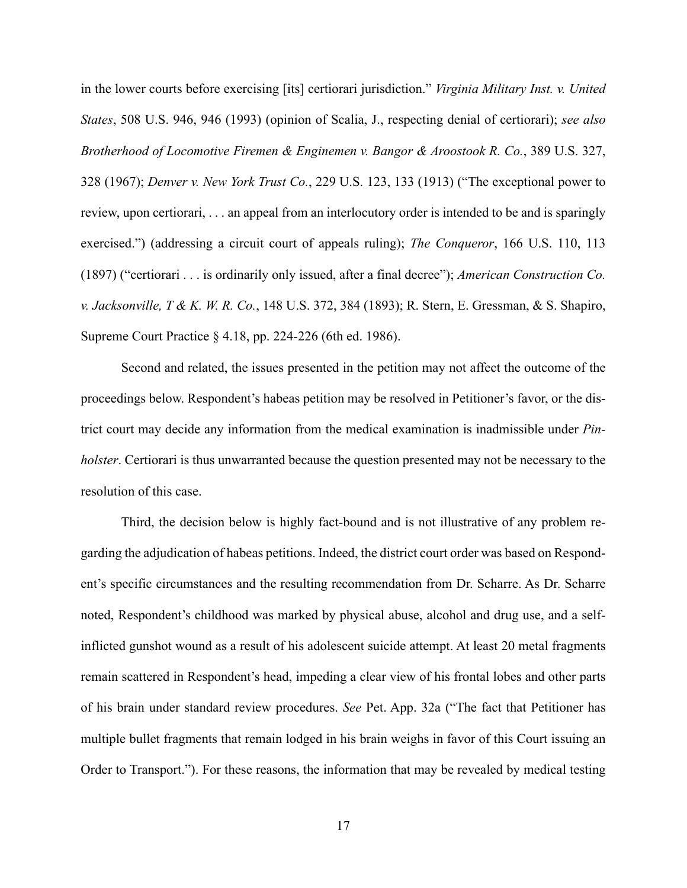<span id="page-21-3"></span><span id="page-21-2"></span><span id="page-21-1"></span>in the lower courts before exercising [its] certiorari jurisdiction." *Virginia Military Inst. v. United States*, 508 U.S. 946, 946 (1993) (opinion of Scalia, J., respecting denial of certiorari); *see also Brotherhood of Locomotive Firemen & Enginemen v. Bangor & Aroostook R. Co.*, 389 U.S. 327, 328 (1967); *Denver v. New York Trust Co.*, 229 U.S. 123, 133 (1913) ("The exceptional power to review, upon certiorari, . . . an appeal from an interlocutory order is intended to be and is sparingly exercised.") (addressing a circuit court of appeals ruling); *The Conqueror*, 166 U.S. 110, 113 (1897) ("certiorari . . . is ordinarily only issued, after a final decree"); *American Construction Co. v. Jacksonville, T & K. W. R. Co.*, 148 U.S. 372, 384 (1893); R. Stern, E. Gressman, & S. Shapiro, Supreme Court Practice § 4.18, pp. 224-226 (6th ed. 1986).

<span id="page-21-0"></span>Second and related, the issues presented in the petition may not affect the outcome of the proceedings below. Respondent's habeas petition may be resolved in Petitioner's favor, or the district court may decide any information from the medical examination is inadmissible under *Pinholster*. Certiorari is thus unwarranted because the question presented may not be necessary to the resolution of this case.

Third, the decision below is highly fact-bound and is not illustrative of any problem regarding the adjudication of habeas petitions. Indeed, the district court order was based on Respondent's specific circumstances and the resulting recommendation from Dr. Scharre. As Dr. Scharre noted, Respondent's childhood was marked by physical abuse, alcohol and drug use, and a selfinflicted gunshot wound as a result of his adolescent suicide attempt. At least 20 metal fragments remain scattered in Respondent's head, impeding a clear view of his frontal lobes and other parts of his brain under standard review procedures. *See* Pet. App. 32a ("The fact that Petitioner has multiple bullet fragments that remain lodged in his brain weighs in favor of this Court issuing an Order to Transport."). For these reasons, the information that may be revealed by medical testing